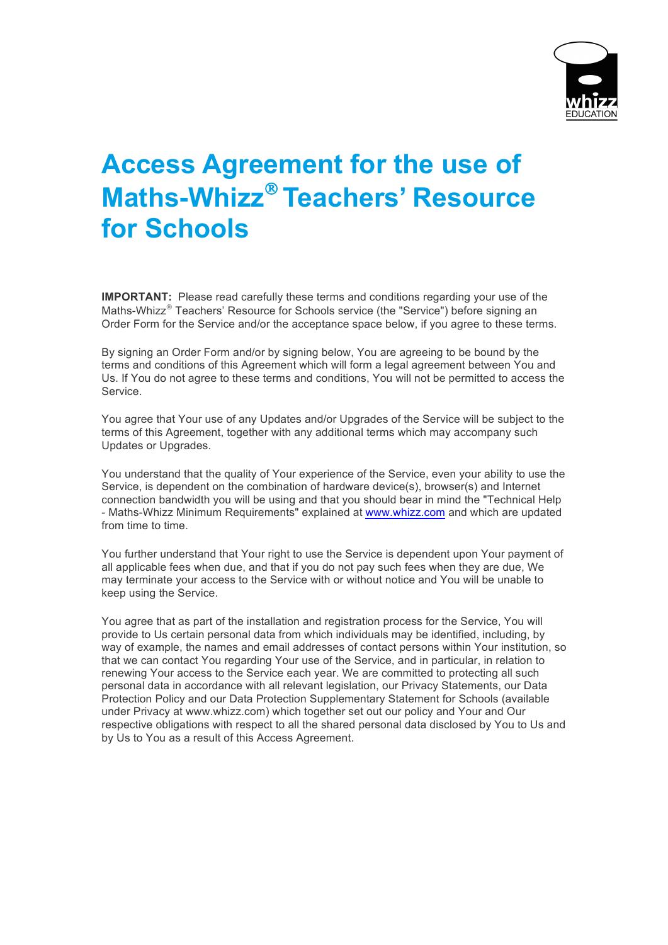

## **Access Agreement for the use of Maths-Whizz<sup>®</sup> Teachers' Resource for Schools**

**IMPORTANT:** Please read carefully these terms and conditions regarding your use of the Maths-Whizz $^{\circ}$  Teachers' Resource for Schools service (the "Service") before signing an Order Form for the Service and/or the acceptance space below, if you agree to these terms.

By signing an Order Form and/or by signing below, You are agreeing to be bound by the terms and conditions of this Agreement which will form a legal agreement between You and Us. If You do not agree to these terms and conditions, You will not be permitted to access the Service.

You agree that Your use of any Updates and/or Upgrades of the Service will be subject to the terms of this Agreement, together with any additional terms which may accompany such Updates or Upgrades.

You understand that the quality of Your experience of the Service, even your ability to use the Service, is dependent on the combination of hardware device(s), browser(s) and Internet connection bandwidth you will be using and that you should bear in mind the "Technical Help - Maths-Whizz Minimum Requirements" explained at www.whizz.com and which are updated from time to time.

You further understand that Your right to use the Service is dependent upon Your payment of all applicable fees when due, and that if you do not pay such fees when they are due, We may terminate your access to the Service with or without notice and You will be unable to keep using the Service.

You agree that as part of the installation and registration process for the Service, You will provide to Us certain personal data from which individuals may be identified, including, by way of example, the names and email addresses of contact persons within Your institution, so that we can contact You regarding Your use of the Service, and in particular, in relation to renewing Your access to the Service each year. We are committed to protecting all such personal data in accordance with all relevant legislation, our Privacy Statements, our Data Protection Policy and our Data Protection Supplementary Statement for Schools (available under Privacy at www.whizz.com) which together set out our policy and Your and Our respective obligations with respect to all the shared personal data disclosed by You to Us and by Us to You as a result of this Access Agreement.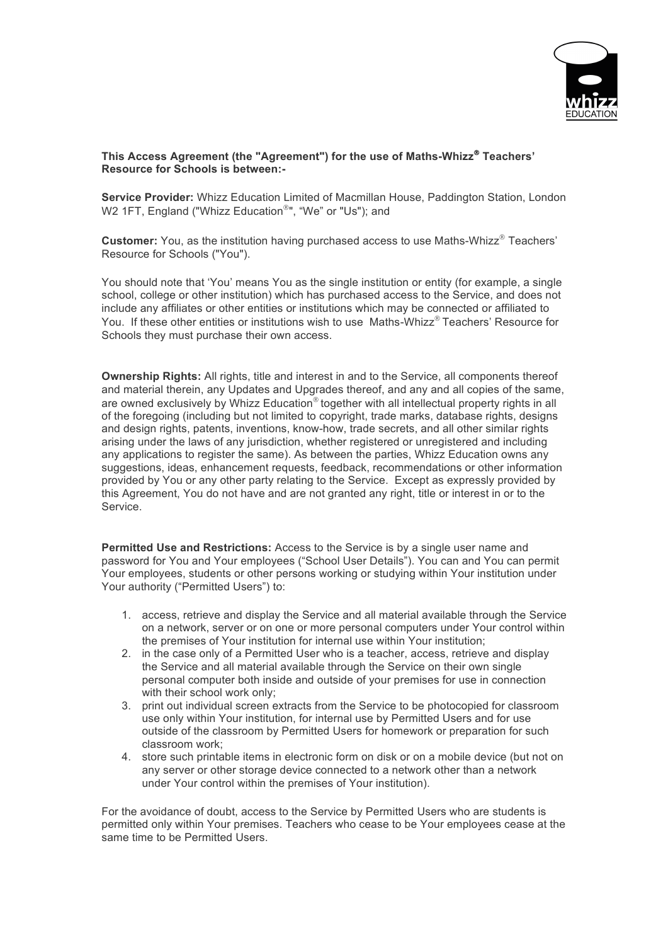

## **This Access Agreement (the "Agreement") for the use of Maths-Whizz**<sup>Ò</sup> **Teachers' Resource for Schools is between:-**

**Service Provider:** Whizz Education Limited of Macmillan House, Paddington Station, London W2 1FT, England ("Whizz Education®", "We" or "Us"); and

**Customer:** You, as the institution having purchased access to use Maths-Whizz<sup>®</sup> Teachers' Resource for Schools ("You").

You should note that 'You' means You as the single institution or entity (for example, a single school, college or other institution) which has purchased access to the Service, and does not include any affiliates or other entities or institutions which may be connected or affiliated to You. If these other entities or institutions wish to use Maths-Whizz® Teachers' Resource for Schools they must purchase their own access.

**Ownership Rights:** All rights, title and interest in and to the Service, all components thereof and material therein, any Updates and Upgrades thereof, and any and all copies of the same, are owned exclusively by Whizz Education<sup>®</sup> together with all intellectual property rights in all of the foregoing (including but not limited to copyright, trade marks, database rights, designs and design rights, patents, inventions, know-how, trade secrets, and all other similar rights arising under the laws of any jurisdiction, whether registered or unregistered and including any applications to register the same). As between the parties, Whizz Education owns any suggestions, ideas, enhancement requests, feedback, recommendations or other information provided by You or any other party relating to the Service. Except as expressly provided by this Agreement, You do not have and are not granted any right, title or interest in or to the Service.

**Permitted Use and Restrictions:** Access to the Service is by a single user name and password for You and Your employees ("School User Details"). You can and You can permit Your employees, students or other persons working or studying within Your institution under Your authority ("Permitted Users") to:

- 1. access, retrieve and display the Service and all material available through the Service on a network, server or on one or more personal computers under Your control within the premises of Your institution for internal use within Your institution;
- 2. in the case only of a Permitted User who is a teacher, access, retrieve and display the Service and all material available through the Service on their own single personal computer both inside and outside of your premises for use in connection with their school work only;
- 3. print out individual screen extracts from the Service to be photocopied for classroom use only within Your institution, for internal use by Permitted Users and for use outside of the classroom by Permitted Users for homework or preparation for such classroom work;
- 4. store such printable items in electronic form on disk or on a mobile device (but not on any server or other storage device connected to a network other than a network under Your control within the premises of Your institution).

For the avoidance of doubt, access to the Service by Permitted Users who are students is permitted only within Your premises. Teachers who cease to be Your employees cease at the same time to be Permitted Users.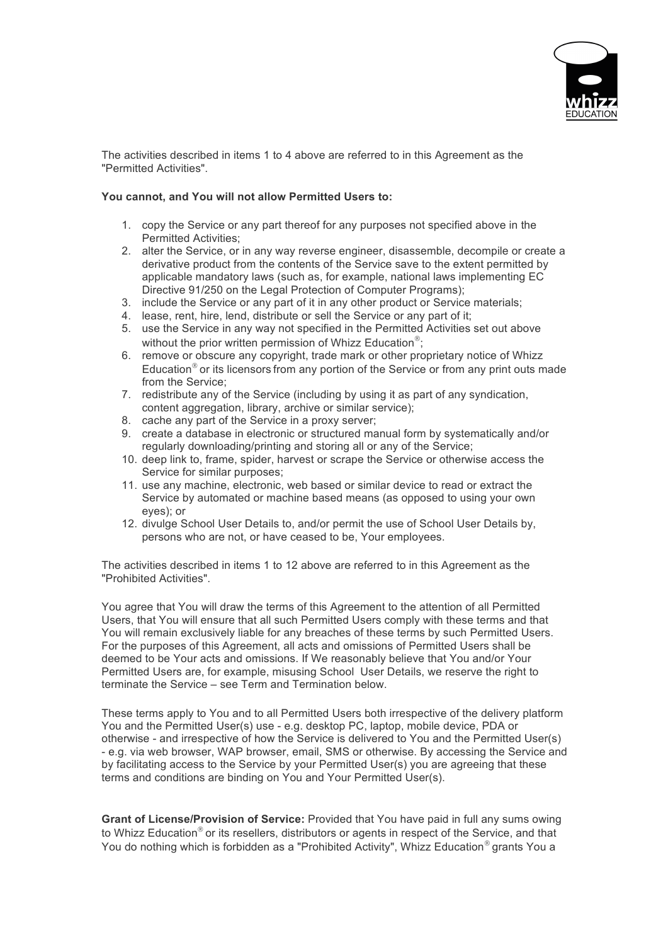

The activities described in items 1 to 4 above are referred to in this Agreement as the "Permitted Activities".

## **You cannot, and You will not allow Permitted Users to:**

- 1. copy the Service or any part thereof for any purposes not specified above in the Permitted Activities;
- 2. alter the Service, or in any way reverse engineer, disassemble, decompile or create a derivative product from the contents of the Service save to the extent permitted by applicable mandatory laws (such as, for example, national laws implementing EC Directive 91/250 on the Legal Protection of Computer Programs);
- 3. include the Service or any part of it in any other product or Service materials;
- 4. lease, rent, hire, lend, distribute or sell the Service or any part of it;
- 5. use the Service in any way not specified in the Permitted Activities set out above without the prior written permission of Whizz Education<sup>®</sup>;
- 6. remove or obscure any copyright, trade mark or other proprietary notice of Whizz Education $<sup>®</sup>$  or its licensors from any portion of the Service or from any print outs made</sup> from the Service;
- 7. redistribute any of the Service (including by using it as part of any syndication, content aggregation, library, archive or similar service);
- 8. cache any part of the Service in a proxy server;
- 9. create a database in electronic or structured manual form by systematically and/or regularly downloading/printing and storing all or any of the Service;
- 10. deep link to, frame, spider, harvest or scrape the Service or otherwise access the Service for similar purposes;
- 11. use any machine, electronic, web based or similar device to read or extract the Service by automated or machine based means (as opposed to using your own eyes); or
- 12. divulge School User Details to, and/or permit the use of School User Details by, persons who are not, or have ceased to be, Your employees.

The activities described in items 1 to 12 above are referred to in this Agreement as the "Prohibited Activities".

You agree that You will draw the terms of this Agreement to the attention of all Permitted Users, that You will ensure that all such Permitted Users comply with these terms and that You will remain exclusively liable for any breaches of these terms by such Permitted Users. For the purposes of this Agreement, all acts and omissions of Permitted Users shall be deemed to be Your acts and omissions. If We reasonably believe that You and/or Your Permitted Users are, for example, misusing School User Details, we reserve the right to terminate the Service – see Term and Termination below.

These terms apply to You and to all Permitted Users both irrespective of the delivery platform You and the Permitted User(s) use - e.g. desktop PC, laptop, mobile device, PDA or otherwise - and irrespective of how the Service is delivered to You and the Permitted User(s) - e.g. via web browser, WAP browser, email, SMS or otherwise. By accessing the Service and by facilitating access to the Service by your Permitted User(s) you are agreeing that these terms and conditions are binding on You and Your Permitted User(s).

**Grant of License/Provision of Service:** Provided that You have paid in full any sums owing to Whizz Education<sup>®</sup> or its resellers, distributors or agents in respect of the Service, and that You do nothing which is forbidden as a "Prohibited Activity", Whizz Education $^{\circ}$  grants You a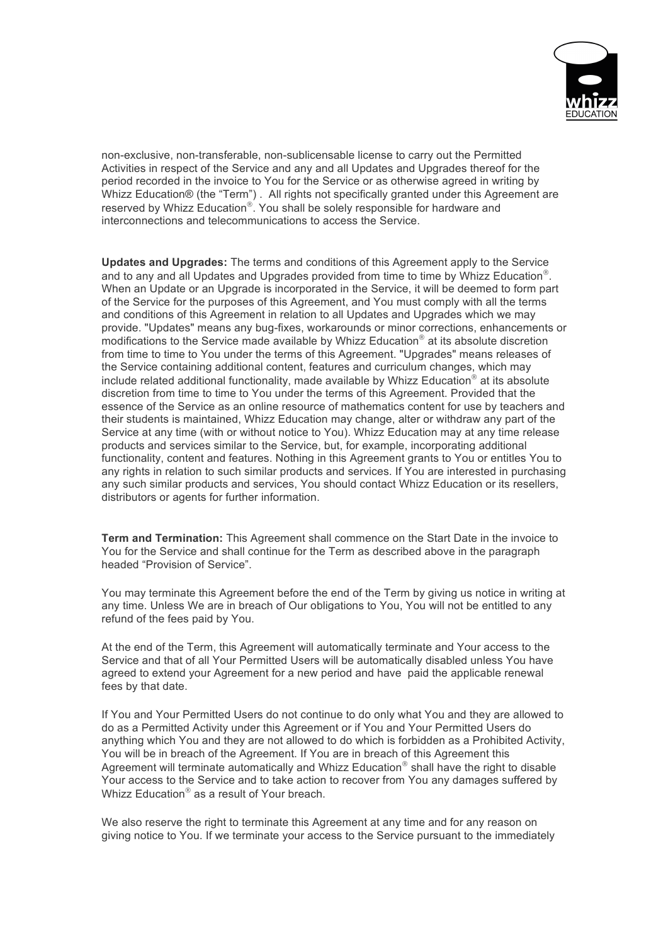

non-exclusive, non-transferable, non-sublicensable license to carry out the Permitted Activities in respect of the Service and any and all Updates and Upgrades thereof for the period recorded in the invoice to You for the Service or as otherwise agreed in writing by Whizz Education® (the "Term") . All rights not specifically granted under this Agreement are reserved by Whizz Education<sup>®</sup>. You shall be solely responsible for hardware and interconnections and telecommunications to access the Service.

**Updates and Upgrades:** The terms and conditions of this Agreement apply to the Service and to any and all Updates and Upgrades provided from time to time by Whizz Education<sup>®</sup>. When an Update or an Upgrade is incorporated in the Service, it will be deemed to form part of the Service for the purposes of this Agreement, and You must comply with all the terms and conditions of this Agreement in relation to all Updates and Upgrades which we may provide. "Updates" means any bug-fixes, workarounds or minor corrections, enhancements or modifications to the Service made available by Whizz Education $<sup>®</sup>$  at its absolute discretion</sup> from time to time to You under the terms of this Agreement. "Upgrades" means releases of the Service containing additional content, features and curriculum changes, which may include related additional functionality, made available by Whizz Education<sup>®</sup> at its absolute discretion from time to time to You under the terms of this Agreement. Provided that the essence of the Service as an online resource of mathematics content for use by teachers and their students is maintained, Whizz Education may change, alter or withdraw any part of the Service at any time (with or without notice to You). Whizz Education may at any time release products and services similar to the Service, but, for example, incorporating additional functionality, content and features. Nothing in this Agreement grants to You or entitles You to any rights in relation to such similar products and services. If You are interested in purchasing any such similar products and services, You should contact Whizz Education or its resellers, distributors or agents for further information.

**Term and Termination:** This Agreement shall commence on the Start Date in the invoice to You for the Service and shall continue for the Term as described above in the paragraph headed "Provision of Service".

You may terminate this Agreement before the end of the Term by giving us notice in writing at any time. Unless We are in breach of Our obligations to You, You will not be entitled to any refund of the fees paid by You.

At the end of the Term, this Agreement will automatically terminate and Your access to the Service and that of all Your Permitted Users will be automatically disabled unless You have agreed to extend your Agreement for a new period and have paid the applicable renewal fees by that date.

If You and Your Permitted Users do not continue to do only what You and they are allowed to do as a Permitted Activity under this Agreement or if You and Your Permitted Users do anything which You and they are not allowed to do which is forbidden as a Prohibited Activity, You will be in breach of the Agreement. If You are in breach of this Agreement this Agreement will terminate automatically and Whizz Education $<sup>®</sup>$  shall have the right to disable</sup> Your access to the Service and to take action to recover from You any damages suffered by Whizz Education<sup>®</sup> as a result of Your breach.

We also reserve the right to terminate this Agreement at any time and for any reason on giving notice to You. If we terminate your access to the Service pursuant to the immediately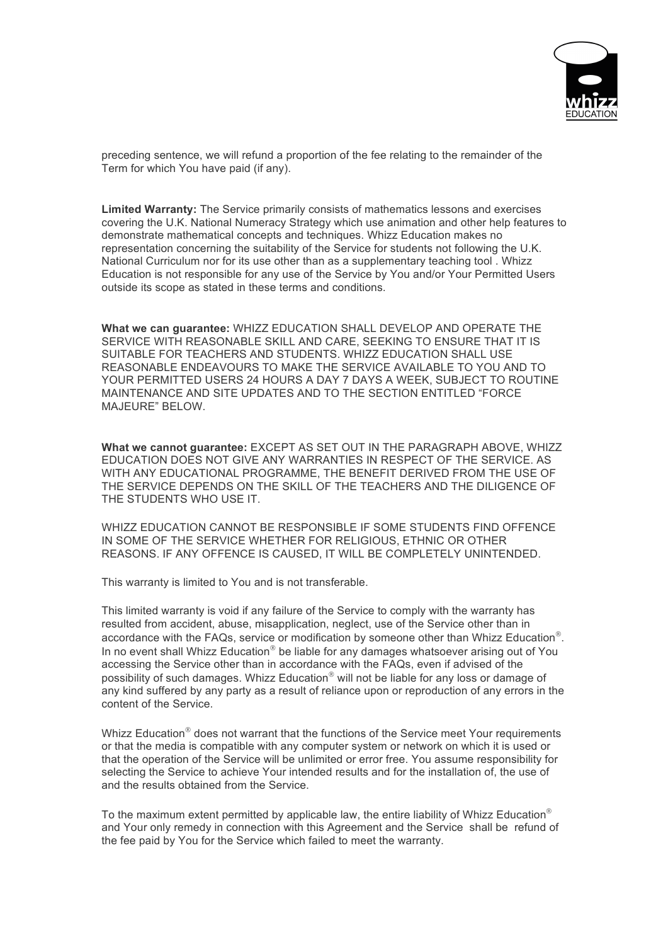

preceding sentence, we will refund a proportion of the fee relating to the remainder of the Term for which You have paid (if any).

**Limited Warranty:** The Service primarily consists of mathematics lessons and exercises covering the U.K. National Numeracy Strategy which use animation and other help features to demonstrate mathematical concepts and techniques. Whizz Education makes no representation concerning the suitability of the Service for students not following the U.K. National Curriculum nor for its use other than as a supplementary teaching tool . Whizz Education is not responsible for any use of the Service by You and/or Your Permitted Users outside its scope as stated in these terms and conditions.

**What we can guarantee:** WHIZZ EDUCATION SHALL DEVELOP AND OPERATE THE SERVICE WITH REASONABLE SKILL AND CARE, SEEKING TO ENSURE THAT IT IS SUITABLE FOR TEACHERS AND STUDENTS. WHIZZ EDUCATION SHALL USE REASONABLE ENDEAVOURS TO MAKE THE SERVICE AVAILABLE TO YOU AND TO YOUR PERMITTED USERS 24 HOURS A DAY 7 DAYS A WEEK, SUBJECT TO ROUTINE MAINTENANCE AND SITE UPDATES AND TO THE SECTION ENTITLED "FORCE MAJEURE" BELOW.

**What we cannot guarantee:** EXCEPT AS SET OUT IN THE PARAGRAPH ABOVE, WHIZZ EDUCATION DOES NOT GIVE ANY WARRANTIES IN RESPECT OF THE SERVICE. AS WITH ANY EDUCATIONAL PROGRAMME, THE BENEFIT DERIVED FROM THE USE OF THE SERVICE DEPENDS ON THE SKILL OF THE TEACHERS AND THE DILIGENCE OF THE STUDENTS WHO USE IT.

WHIZZ EDUCATION CANNOT BE RESPONSIBLE IF SOME STUDENTS FIND OFFENCE IN SOME OF THE SERVICE WHETHER FOR RELIGIOUS, ETHNIC OR OTHER REASONS. IF ANY OFFENCE IS CAUSED, IT WILL BE COMPLETELY UNINTENDED.

This warranty is limited to You and is not transferable.

This limited warranty is void if any failure of the Service to comply with the warranty has resulted from accident, abuse, misapplication, neglect, use of the Service other than in accordance with the FAQs, service or modification by someone other than Whizz Education<sup>®</sup>. In no event shall Whizz Education $<sup>®</sup>$  be liable for any damages whatsoever arising out of You</sup> accessing the Service other than in accordance with the FAQs, even if advised of the possibility of such damages. Whizz Education<sup>®</sup> will not be liable for any loss or damage of any kind suffered by any party as a result of reliance upon or reproduction of any errors in the content of the Service.

Whizz Education $^{\circ}$  does not warrant that the functions of the Service meet Your requirements or that the media is compatible with any computer system or network on which it is used or that the operation of the Service will be unlimited or error free. You assume responsibility for selecting the Service to achieve Your intended results and for the installation of, the use of and the results obtained from the Service.

To the maximum extent permitted by applicable law, the entire liability of Whizz Education $^{\circ}$ and Your only remedy in connection with this Agreement and the Service shall be refund of the fee paid by You for the Service which failed to meet the warranty.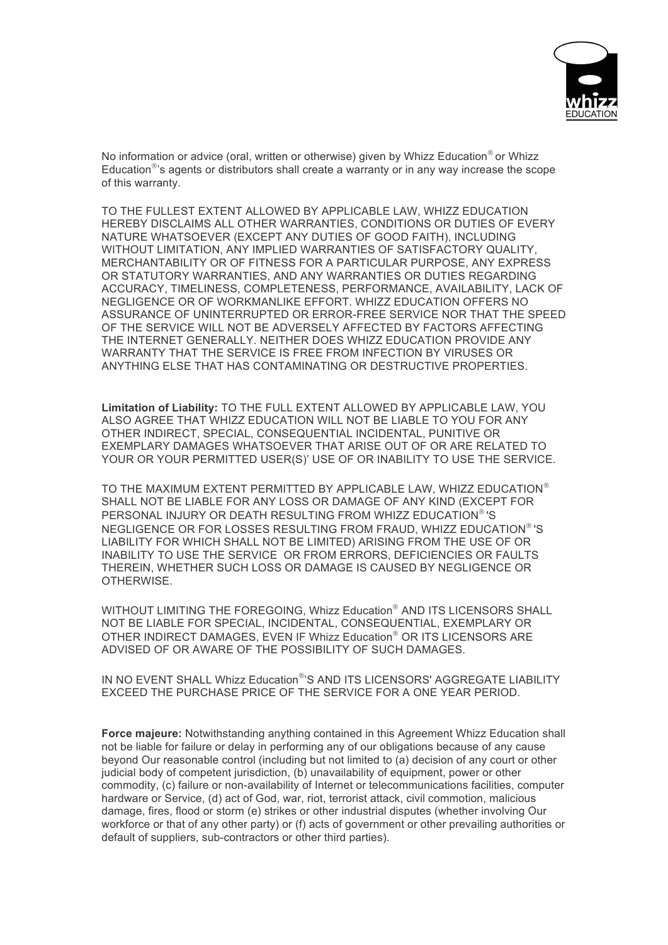

No information or advice (oral, written or otherwise) given by Whizz Education<sup>®</sup> or Whizz Education $\mathbb{P}^3$ s agents or distributors shall create a warranty or in any way increase the scope of this warranty.

TO THE FULLEST EXTENT ALLOWED BY APPLICABLE LAW, WHIZZ EDUCATION HEREBY DISCLAIMS ALL OTHER WARRANTIES, CONDITIONS OR DUTIES OF EVERY NATURE WHATSOEVER (EXCEPT ANY DUTIES OF GOOD FAITH), INCLUDING WITHOUT LIMITATION, ANY IMPLIED WARRANTIES OF SATISFACTORY QUALITY, MERCHANTABILITY OR OF FITNESS FOR A PARTICULAR PURPOSE, ANY EXPRESS OR STATUTORY WARRANTIES, AND ANY WARRANTIES OR DUTIES REGARDING ACCURACY, TIMELINESS, COMPLETENESS, PERFORMANCE, AVAILABILITY, LACK OF NEGLIGENCE OR OF WORKMANLIKE EFFORT. WHIZZ EDUCATION OFFERS NO ASSURANCE OF UNINTERRUPTED OR ERROR-FREE SERVICE NOR THAT THE SPEED OF THE SERVICE WILL NOT BE ADVERSELY AFFECTED BY FACTORS AFFECTING THE INTERNET GENERALLY. NEITHER DOES WHIZZ EDUCATION PROVIDE ANY WARRANTY THAT THE SERVICE IS FREE FROM INFECTION BY VIRUSES OR ANYTHING ELSE THAT HAS CONTAMINATING OR DESTRUCTIVE PROPERTIES.

**Limitation of Liability:** TO THE FULL EXTENT ALLOWED BY APPLICABLE LAW, YOU ALSO AGREE THAT WHIZZ EDUCATION WILL NOT BE LIABLE TO YOU FOR ANY OTHER INDIRECT, SPECIAL, CONSEQUENTIAL INCIDENTAL, PUNITIVE OR EXEMPLARY DAMAGES WHATSOEVER THAT ARISE OUT OF OR ARE RELATED TO YOUR OR YOUR PERMITTED USER(S)' USE OF OR INABILITY TO USE THE SERVICE.

TO THE MAXIMUM EXTENT PERMITTED BY APPLICABLE LAW, WHIZZ EDUCATION<sup>®</sup> SHALL NOT BE LIABLE FOR ANY LOSS OR DAMAGE OF ANY KIND (EXCEPT FOR PERSONAL INJURY OR DEATH RESULTING FROM WHIZZ EDUCATION®'S NEGLIGENCE OR FOR LOSSES RESULTING FROM FRAUD, WHIZZ EDUCATION® 'S LIABILITY FOR WHICH SHALL NOT BE LIMITED) ARISING FROM THE USE OF OR INABILITY TO USE THE SERVICE OR FROM ERRORS, DEFICIENCIES OR FAULTS THEREIN, WHETHER SUCH LOSS OR DAMAGE IS CAUSED BY NEGLIGENCE OR OTHERWISE.

WITHOUT LIMITING THE FOREGOING, Whizz Education® AND ITS LICENSORS SHALL NOT BE LIABLE FOR SPECIAL, INCIDENTAL, CONSEQUENTIAL, EXEMPLARY OR OTHER INDIRECT DAMAGES, EVEN IF Whizz Education<sup>®</sup> OR ITS LICENSORS ARE ADVISED OF OR AWARE OF THE POSSIBILITY OF SUCH DAMAGES.

IN NO EVENT SHALL Whizz Education®'S AND ITS LICENSORS' AGGREGATE LIABILITY EXCEED THE PURCHASE PRICE OF THE SERVICE FOR A ONE YEAR PERIOD.

**Force majeure:** Notwithstanding anything contained in this Agreement Whizz Education shall not be liable for failure or delay in performing any of our obligations because of any cause beyond Our reasonable control (including but not limited to (a) decision of any court or other judicial body of competent jurisdiction, (b) unavailability of equipment, power or other commodity, (c) failure or non-availability of Internet or telecommunications facilities, computer hardware or Service, (d) act of God, war, riot, terrorist attack, civil commotion, malicious damage, fires, flood or storm (e) strikes or other industrial disputes (whether involving Our workforce or that of any other party) or (f) acts of government or other prevailing authorities or default of suppliers, sub-contractors or other third parties).